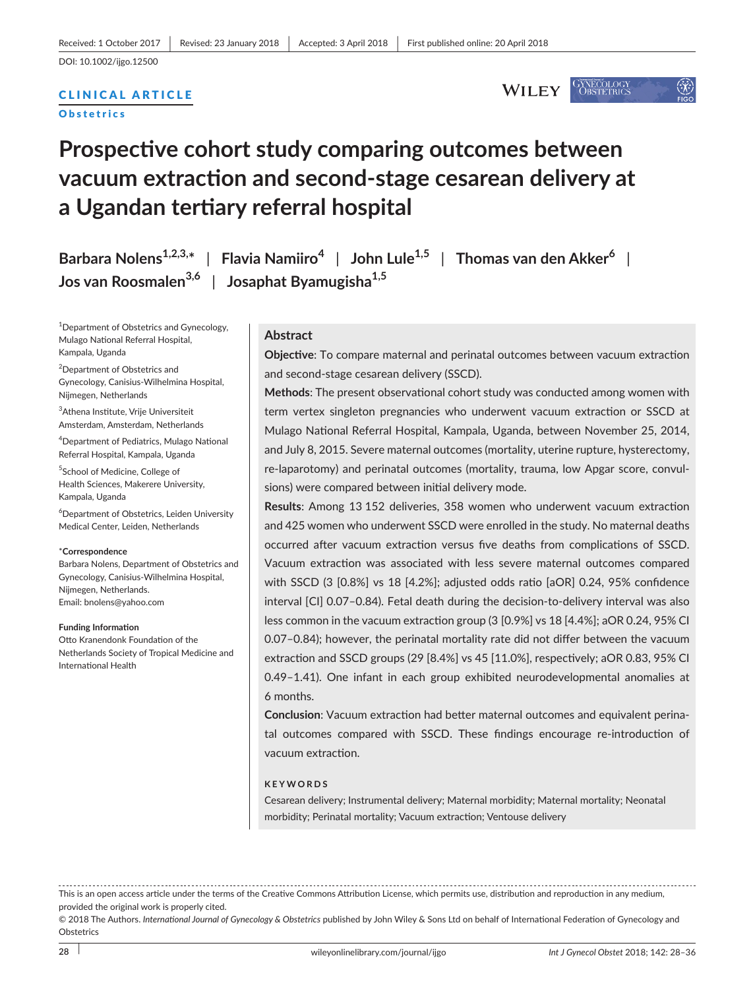## CLINICAL ARTICLE

**Obstetrics** 

**GYNECOLOGY**<br>**OBSTETRICS WILEY** 

# **Prospective cohort study comparing outcomes between vacuum extraction and second-stage cesarean delivery at a Ugandan tertiary referral hospital**

**Barbara Nolens1,2,3,\*** | **Flavia Namiiro<sup>4</sup>** | **John Lule1,5** | **Thomas van den Akker<sup>6</sup>** | **Jos van Roosmalen3,6** | **Josaphat Byamugisha1,5**

<sup>1</sup>Department of Obstetrics and Gynecology, Mulago National Referral Hospital, Kampala, Uganda

<sup>2</sup>Department of Obstetrics and Gynecology, Canisius-Wilhelmina Hospital, Nijmegen, Netherlands

3 Athena Institute, Vrije Universiteit Amsterdam, Amsterdam, Netherlands

4 Department of Pediatrics, Mulago National Referral Hospital, Kampala, Uganda

5 School of Medicine, College of Health Sciences, Makerere University, Kampala, Uganda

6 Department of Obstetrics, Leiden University Medical Center, Leiden, Netherlands

#### \***Correspondence**

Barbara Nolens, Department of Obstetrics and Gynecology, Canisius-Wilhelmina Hospital, Nijmegen, Netherlands. Email: [bnolens@yahoo.com](mailto:bnolens@yahoo.com)

#### **Funding Information**

Otto Kranendonk Foundation of the Netherlands Society of Tropical Medicine and International Health

#### **Abstract**

**Objective**: To compare maternal and perinatal outcomes between vacuum extraction and second-stage cesarean delivery (SSCD).

**Methods**: The present observational cohort study was conducted among women with term vertex singleton pregnancies who underwent vacuum extraction or SSCD at Mulago National Referral Hospital, Kampala, Uganda, between November 25, 2014, and July 8, 2015. Severe maternal outcomes (mortality, uterine rupture, hysterectomy, re-laparotomy) and perinatal outcomes (mortality, trauma, low Apgar score, convulsions) were compared between initial delivery mode.

**Results**: Among 13 152 deliveries, 358 women who underwent vacuum extraction and 425 women who underwent SSCD were enrolled in the study. No maternal deaths occurred after vacuum extraction versus five deaths from complications of SSCD. Vacuum extraction was associated with less severe maternal outcomes compared with SSCD (3 [0.8%] vs 18 [4.2%]; adjusted odds ratio [aOR] 0.24, 95% confidence interval [CI] 0.07–0.84). Fetal death during the decision-to-delivery interval was also less common in the vacuum extraction group (3 [0.9%] vs 18 [4.4%]; aOR 0.24, 95% CI 0.07–0.84); however, the perinatal mortality rate did not differ between the vacuum extraction and SSCD groups (29 [8.4%] vs 45 [11.0%], respectively; aOR 0.83, 95% CI 0.49–1.41). One infant in each group exhibited neurodevelopmental anomalies at 6 months.

**Conclusion**: Vacuum extraction had better maternal outcomes and equivalent perinatal outcomes compared with SSCD. These findings encourage re-introduction of vacuum extraction.

#### **KEYWORDS**

Cesarean delivery; Instrumental delivery; Maternal morbidity; Maternal mortality; Neonatal morbidity; Perinatal mortality; Vacuum extraction; Ventouse delivery

This is an open access article under the terms of the [Creative Commons Attribution](http://creativecommons.org/licenses/by/4.0/) License, which permits use, distribution and reproduction in any medium, provided the original work is properly cited.

© 2018 The Authors. *International Journal of Gynecology & Obstetrics* published by John Wiley & Sons Ltd on behalf of International Federation of Gynecology and **Obstetrics**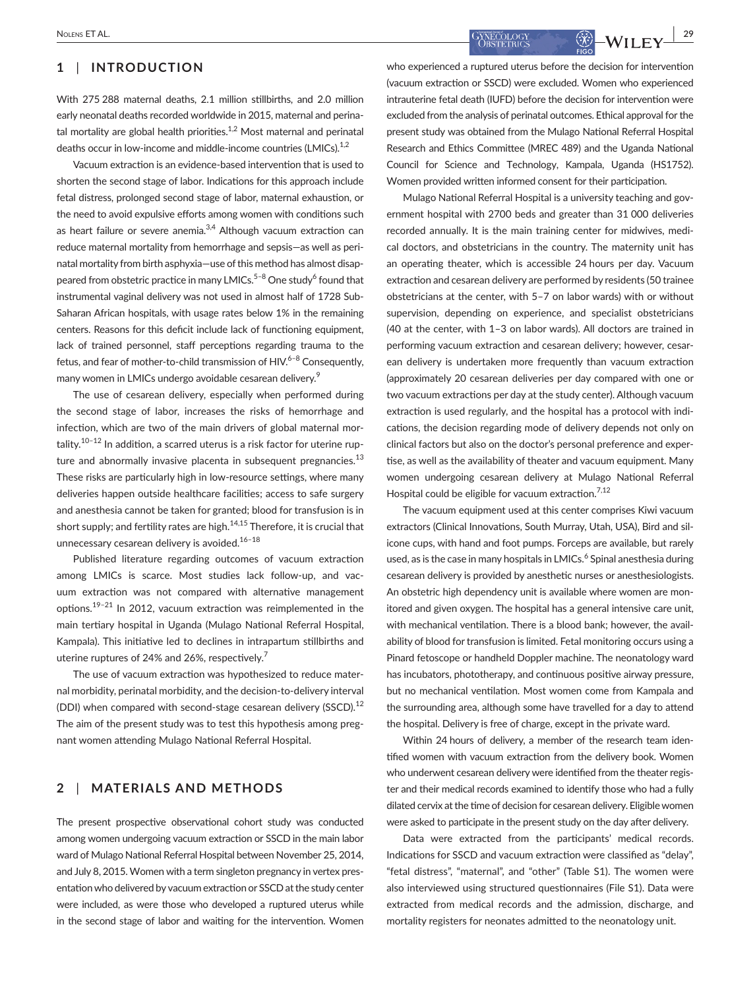## **1** | **INTRODUCTION**

With 275 288 maternal deaths, 2.1 million stillbirths, and 2.0 million early neonatal deaths recorded worldwide in 2015, maternal and perinatal mortality are global health priorities. $1,2$  Most maternal and perinatal deaths occur in low-income and middle-income countries (LMICs).<sup>1,2</sup>

Vacuum extraction is an evidence-based intervention that is used to shorten the second stage of labor. Indications for this approach include fetal distress, prolonged second stage of labor, maternal exhaustion, or the need to avoid expulsive efforts among women with conditions such as heart failure or severe anemia.<sup>3,4</sup> Although vacuum extraction can reduce maternal mortality from hemorrhage and sepsis—as well as perinatal mortality from birth asphyxia—use of this method has almost disappeared from obstetric practice in many LMICs.<sup>5–8</sup> One study<sup>6</sup> found that instrumental vaginal delivery was not used in almost half of 1728 Sub-Saharan African hospitals, with usage rates below 1% in the remaining centers. Reasons for this deficit include lack of functioning equipment, lack of trained personnel, staff perceptions regarding trauma to the fetus, and fear of mother-to-child transmission of  $HIV.<sup>6-8</sup>$  Consequently, many women in LMICs undergo avoidable cesarean delivery.<sup>9</sup>

The use of cesarean delivery, especially when performed during the second stage of labor, increases the risks of hemorrhage and infection, which are two of the main drivers of global maternal mortality.<sup>10-12</sup> In addition, a scarred uterus is a risk factor for uterine rupture and abnormally invasive placenta in subsequent pregnancies. $^{13}$ These risks are particularly high in low-resource settings, where many deliveries happen outside healthcare facilities; access to safe surgery and anesthesia cannot be taken for granted; blood for transfusion is in short supply; and fertility rates are high. $14,15$  Therefore, it is crucial that unnecessary cesarean delivery is avoided. $16-18$ 

Published literature regarding outcomes of vacuum extraction among LMICs is scarce. Most studies lack follow-up, and vacuum extraction was not compared with alternative management options.19–21 In 2012, vacuum extraction was reimplemented in the main tertiary hospital in Uganda (Mulago National Referral Hospital, Kampala). This initiative led to declines in intrapartum stillbirths and uterine ruptures of 24% and 26%, respectively.<sup>7</sup>

The use of vacuum extraction was hypothesized to reduce maternal morbidity, perinatal morbidity, and the decision-to-delivery interval (DDI) when compared with second-stage cesarean delivery (SSCD).<sup>12</sup> The aim of the present study was to test this hypothesis among pregnant women attending Mulago National Referral Hospital.

## **2** | **MATERIALS AND METHODS**

The present prospective observational cohort study was conducted among women undergoing vacuum extraction or SSCD in the main labor ward of Mulago National Referral Hospital between November 25, 2014, and July 8, 2015. Women with a term singleton pregnancy in vertex presentation who delivered by vacuum extraction or SSCD at the study center were included, as were those who developed a ruptured uterus while in the second stage of labor and waiting for the intervention. Women who experienced a ruptured uterus before the decision for intervention (vacuum extraction or SSCD) were excluded. Women who experienced intrauterine fetal death (IUFD) before the decision for intervention were excluded from the analysis of perinatal outcomes. Ethical approval for the present study was obtained from the Mulago National Referral Hospital Research and Ethics Committee (MREC 489) and the Uganda National Council for Science and Technology, Kampala, Uganda (HS1752). Women provided written informed consent for their participation.

Mulago National Referral Hospital is a university teaching and government hospital with 2700 beds and greater than 31 000 deliveries recorded annually. It is the main training center for midwives, medical doctors, and obstetricians in the country. The maternity unit has an operating theater, which is accessible 24 hours per day. Vacuum extraction and cesarean delivery are performed by residents (50 trainee obstetricians at the center, with 5–7 on labor wards) with or without supervision, depending on experience, and specialist obstetricians (40 at the center, with 1–3 on labor wards). All doctors are trained in performing vacuum extraction and cesarean delivery; however, cesarean delivery is undertaken more frequently than vacuum extraction (approximately 20 cesarean deliveries per day compared with one or two vacuum extractions per day at the study center). Although vacuum extraction is used regularly, and the hospital has a protocol with indications, the decision regarding mode of delivery depends not only on clinical factors but also on the doctor's personal preference and expertise, as well as the availability of theater and vacuum equipment. Many women undergoing cesarean delivery at Mulago National Referral Hospital could be eligible for vacuum extraction.<sup>7,12</sup>

The vacuum equipment used at this center comprises Kiwi vacuum extractors (Clinical Innovations, South Murray, Utah, USA), Bird and silicone cups, with hand and foot pumps. Forceps are available, but rarely used, as is the case in many hospitals in LMICs.<sup>6</sup> Spinal anesthesia during cesarean delivery is provided by anesthetic nurses or anesthesiologists. An obstetric high dependency unit is available where women are monitored and given oxygen. The hospital has a general intensive care unit, with mechanical ventilation. There is a blood bank; however, the availability of blood for transfusion is limited. Fetal monitoring occurs using a Pinard fetoscope or handheld Doppler machine. The neonatology ward has incubators, phototherapy, and continuous positive airway pressure, but no mechanical ventilation. Most women come from Kampala and the surrounding area, although some have travelled for a day to attend the hospital. Delivery is free of charge, except in the private ward.

Within 24 hours of delivery, a member of the research team identified women with vacuum extraction from the delivery book. Women who underwent cesarean delivery were identified from the theater register and their medical records examined to identify those who had a fully dilated cervix at the time of decision for cesarean delivery. Eligible women were asked to participate in the present study on the day after delivery.

Data were extracted from the participants' medical records. Indications for SSCD and vacuum extraction were classified as "delay", "fetal distress", "maternal", and "other" (Table S1). The women were also interviewed using structured questionnaires (File S1). Data were extracted from medical records and the admission, discharge, and mortality registers for neonates admitted to the neonatology unit.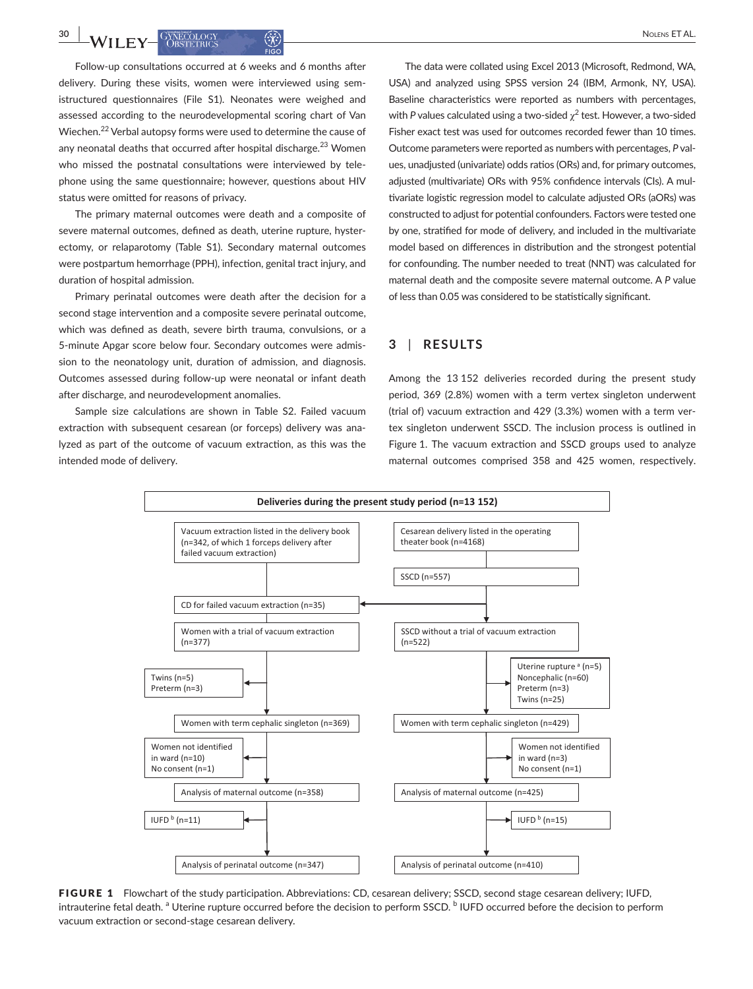Follow-up consultations occurred at 6 weeks and 6 months after delivery. During these visits, women were interviewed using semistructured questionnaires (File S1). Neonates were weighed and assessed according to the neurodevelopmental scoring chart of Van Wiechen.22 Verbal autopsy forms were used to determine the cause of any neonatal deaths that occurred after hospital discharge.<sup>23</sup> Women who missed the postnatal consultations were interviewed by telephone using the same questionnaire; however, questions about HIV status were omitted for reasons of privacy.

The primary maternal outcomes were death and a composite of severe maternal outcomes, defined as death, uterine rupture, hysterectomy, or relaparotomy (Table S1). Secondary maternal outcomes were postpartum hemorrhage (PPH), infection, genital tract injury, and duration of hospital admission.

Primary perinatal outcomes were death after the decision for a second stage intervention and a composite severe perinatal outcome, which was defined as death, severe birth trauma, convulsions, or a 5-minute Apgar score below four. Secondary outcomes were admission to the neonatology unit, duration of admission, and diagnosis. Outcomes assessed during follow-up were neonatal or infant death after discharge, and neurodevelopment anomalies.

Sample size calculations are shown in Table S2. Failed vacuum extraction with subsequent cesarean (or forceps) delivery was analyzed as part of the outcome of vacuum extraction, as this was the intended mode of delivery.

The data were collated using Excel 2013 (Microsoft, Redmond, WA, USA) and analyzed using SPSS version 24 (IBM, Armonk, NY, USA). Baseline characteristics were reported as numbers with percentages, with *P* values calculated using a two-sided  $\chi^2$  test. However, a two-sided Fisher exact test was used for outcomes recorded fewer than 10 times. Outcome parameters were reported as numbers with percentages, *P* values, unadjusted (univariate) odds ratios (ORs) and, for primary outcomes, adjusted (multivariate) ORs with 95% confidence intervals (CIs). A multivariate logistic regression model to calculate adjusted ORs (aORs) was constructed to adjust for potential confounders. Factors were tested one by one, stratified for mode of delivery, and included in the multivariate model based on differences in distribution and the strongest potential for confounding. The number needed to treat (NNT) was calculated for maternal death and the composite severe maternal outcome. A *P* value of less than 0.05 was considered to be statistically significant.

## **3** | **RESULTS**

Among the 13 152 deliveries recorded during the present study period, 369 (2.8%) women with a term vertex singleton underwent (trial of) vacuum extraction and 429 (3.3%) women with a term vertex singleton underwent SSCD. The inclusion process is outlined in Figure 1. The vacuum extraction and SSCD groups used to analyze maternal outcomes comprised 358 and 425 women, respectively.



FIGURE 1 Flowchart of the study participation. Abbreviations: CD, cesarean delivery; SSCD, second stage cesarean delivery; IUFD, intrauterine fetal death. <sup>a</sup> Uterine rupture occurred before the decision to perform SSCD. <sup>b</sup> IUFD occurred before the decision to perform vacuum extraction or second-stage cesarean delivery.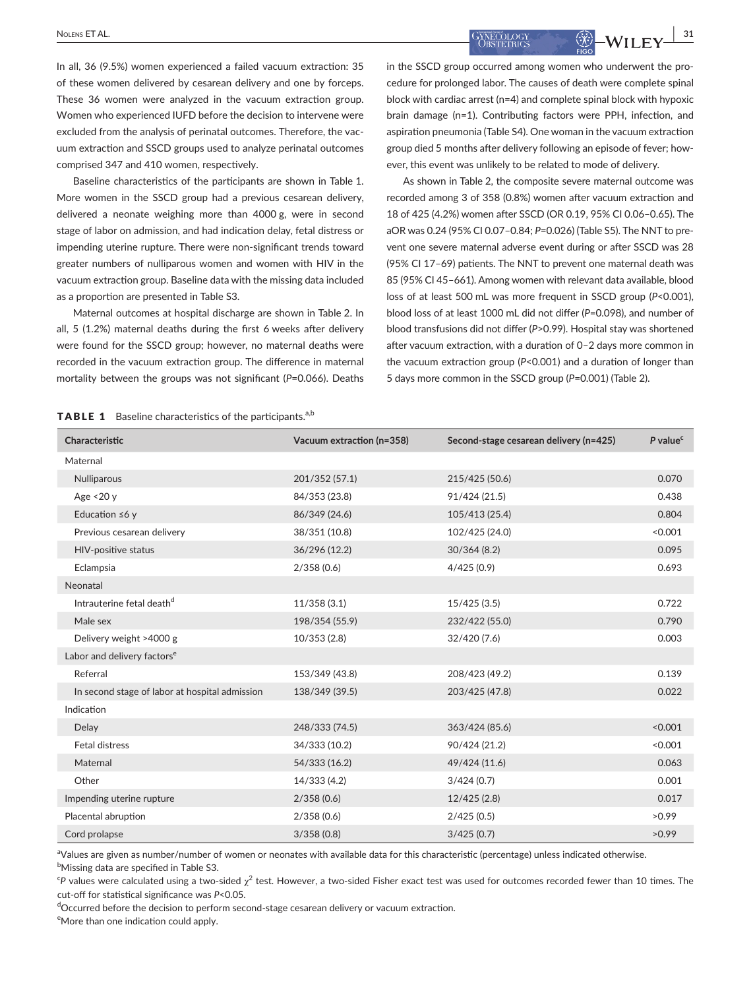**SUPPORT AND INTERNATION CONSTITUTION** CONSTITUTION CONSTITUTION **31** 

In all, 36 (9.5%) women experienced a failed vacuum extraction: 35 of these women delivered by cesarean delivery and one by forceps. These 36 women were analyzed in the vacuum extraction group. Women who experienced IUFD before the decision to intervene were excluded from the analysis of perinatal outcomes. Therefore, the vacuum extraction and SSCD groups used to analyze perinatal outcomes comprised 347 and 410 women, respectively.

Baseline characteristics of the participants are shown in Table 1. More women in the SSCD group had a previous cesarean delivery, delivered a neonate weighing more than 4000 g, were in second stage of labor on admission, and had indication delay, fetal distress or impending uterine rupture. There were non-significant trends toward greater numbers of nulliparous women and women with HIV in the vacuum extraction group. Baseline data with the missing data included as a proportion are presented in Table S3.

Maternal outcomes at hospital discharge are shown in Table 2. In all, 5 (1.2%) maternal deaths during the first 6 weeks after delivery were found for the SSCD group; however, no maternal deaths were recorded in the vacuum extraction group. The difference in maternal mortality between the groups was not significant (*P*=0.066). Deaths

in the SSCD group occurred among women who underwent the procedure for prolonged labor. The causes of death were complete spinal block with cardiac arrest (n=4) and complete spinal block with hypoxic brain damage (n=1). Contributing factors were PPH, infection, and aspiration pneumonia (Table S4). One woman in the vacuum extraction group died 5 months after delivery following an episode of fever; however, this event was unlikely to be related to mode of delivery.

As shown in Table 2, the composite severe maternal outcome was recorded among 3 of 358 (0.8%) women after vacuum extraction and 18 of 425 (4.2%) women after SSCD (OR 0.19, 95% CI 0.06–0.65). The aOR was 0.24 (95% CI 0.07–0.84; *P*=0.026) (Table S5). The NNT to prevent one severe maternal adverse event during or after SSCD was 28 (95% CI 17–69) patients. The NNT to prevent one maternal death was 85 (95% CI 45–661). Among women with relevant data available, blood loss of at least 500 mL was more frequent in SSCD group (*P*<0.001), blood loss of at least 1000 mL did not differ (*P*=0.098), and number of blood transfusions did not differ (*P*>0.99). Hospital stay was shortened after vacuum extraction, with a duration of 0–2 days more common in the vacuum extraction group (*P*<0.001) and a duration of longer than 5 days more common in the SSCD group (*P*=0.001) (Table 2).

#### **TABLE 1** Baseline characteristics of the participants.<sup>a,b</sup>

| Characteristic                                 | Vacuum extraction (n=358) | Second-stage cesarean delivery (n=425) | $P$ value <sup>c</sup> |
|------------------------------------------------|---------------------------|----------------------------------------|------------------------|
| Maternal                                       |                           |                                        |                        |
| Nulliparous                                    | 201/352 (57.1)            | 215/425 (50.6)                         | 0.070                  |
| Age <20 y                                      | 84/353 (23.8)             | 91/424 (21.5)                          | 0.438                  |
| Education $\leq 6$ y                           | 86/349 (24.6)             | 105/413 (25.4)                         | 0.804                  |
| Previous cesarean delivery                     | 38/351 (10.8)             | 102/425 (24.0)                         | < 0.001                |
| HIV-positive status                            | 36/296 (12.2)             | 30/364(8.2)                            | 0.095                  |
| Eclampsia                                      | 2/358(0.6)                | 4/425(0.9)                             | 0.693                  |
| Neonatal                                       |                           |                                        |                        |
| Intrauterine fetal death <sup>d</sup>          | 11/358(3.1)               | 15/425(3.5)                            | 0.722                  |
| Male sex                                       | 198/354 (55.9)            | 232/422 (55.0)                         | 0.790                  |
| Delivery weight >4000 g                        | 10/353(2.8)               | 32/420 (7.6)                           | 0.003                  |
| Labor and delivery factors <sup>e</sup>        |                           |                                        |                        |
| Referral                                       | 153/349 (43.8)            | 208/423 (49.2)                         | 0.139                  |
| In second stage of labor at hospital admission | 138/349 (39.5)            | 203/425 (47.8)                         | 0.022                  |
| Indication                                     |                           |                                        |                        |
| Delay                                          | 248/333 (74.5)            | 363/424 (85.6)                         | < 0.001                |
| <b>Fetal distress</b>                          | 34/333 (10.2)             | 90/424 (21.2)                          | < 0.001                |
| Maternal                                       | 54/333 (16.2)             | 49/424 (11.6)                          | 0.063                  |
| Other                                          | 14/333 (4.2)              | 3/424(0.7)                             | 0.001                  |
| Impending uterine rupture                      | 2/358(0.6)                | 12/425(2.8)                            | 0.017                  |
| Placental abruption                            | 2/358(0.6)                | 2/425(0.5)                             | >0.99                  |
| Cord prolapse                                  | 3/358(0.8)                | 3/425(0.7)                             | >0.99                  |

aValues are given as number/number of women or neonates with available data for this characteristic (percentage) unless indicated otherwise.  $^{\rm b}$ Missing data are specified in Table S3.

 $^\mathsf{c}\mathsf{p}$  values were calculated using a two-sided  $\chi^2$  test. However, a two-sided Fisher exact test was used for outcomes recorded fewer than 10 times. The cut-off for statistical significance was *P*<0.05.

dOccurred before the decision to perform second-stage cesarean delivery or vacuum extraction. <sup>e</sup>More than one indication could apply.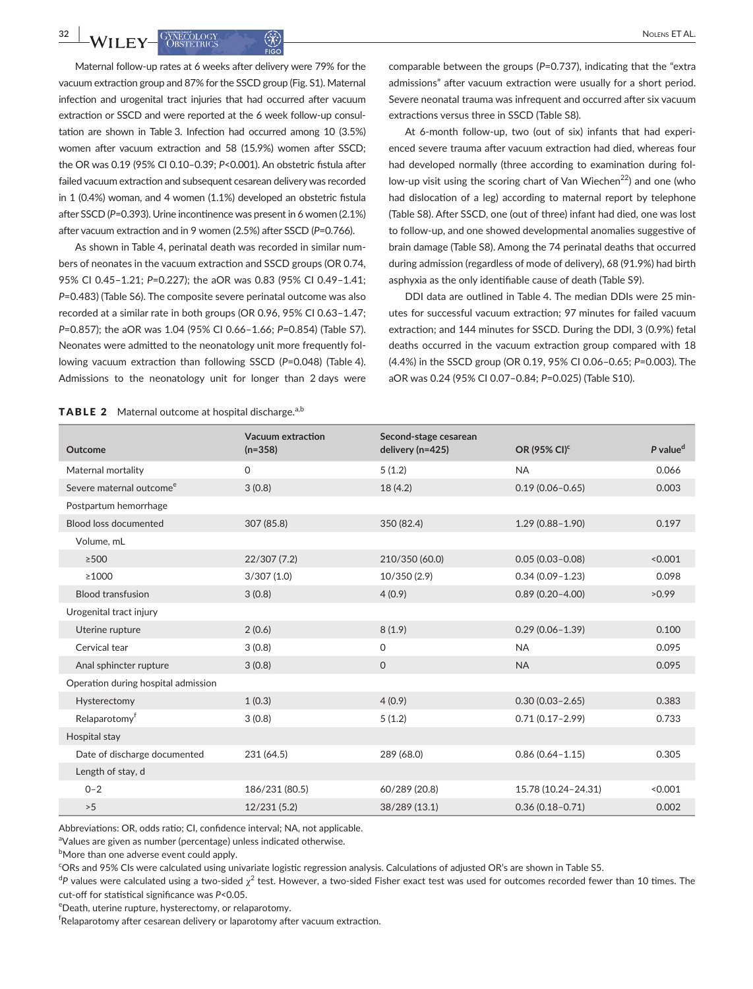Maternal follow-up rates at 6 weeks after delivery were 79% for the vacuum extraction group and 87% for the SSCD group (Fig. S1). Maternal infection and urogenital tract injuries that had occurred after vacuum extraction or SSCD and were reported at the 6 week follow-up consultation are shown in Table 3. Infection had occurred among 10 (3.5%) women after vacuum extraction and 58 (15.9%) women after SSCD; the OR was 0.19 (95% CI 0.10–0.39; *P*<0.001). An obstetric fistula after failed vacuum extraction and subsequent cesarean delivery was recorded in 1 (0.4%) woman, and 4 women (1.1%) developed an obstetric fistula after SSCD (*P*=0.393). Urine incontinence was present in 6 women (2.1%) after vacuum extraction and in 9 women (2.5%) after SSCD (*P*=0.766).

As shown in Table 4, perinatal death was recorded in similar numbers of neonates in the vacuum extraction and SSCD groups (OR 0.74, 95% CI 0.45–1.21; *P*=0.227); the aOR was 0.83 (95% CI 0.49–1.41; *P*=0.483) (Table S6). The composite severe perinatal outcome was also recorded at a similar rate in both groups (OR 0.96, 95% CI 0.63–1.47; *P*=0.857); the aOR was 1.04 (95% CI 0.66–1.66; *P*=0.854) (Table S7). Neonates were admitted to the neonatology unit more frequently following vacuum extraction than following SSCD (*P*=0.048) (Table 4). Admissions to the neonatology unit for longer than 2 days were

**TABLE 2** Maternal outcome at hospital discharge.<sup>a,b</sup>

comparable between the groups (*P*=0.737), indicating that the "extra admissions" after vacuum extraction were usually for a short period. Severe neonatal trauma was infrequent and occurred after six vacuum extractions versus three in SSCD (Table S8).

At 6-month follow-up, two (out of six) infants that had experienced severe trauma after vacuum extraction had died, whereas four had developed normally (three according to examination during follow-up visit using the scoring chart of Van Wiechen<sup>22</sup>) and one (who had dislocation of a leg) according to maternal report by telephone (Table S8). After SSCD, one (out of three) infant had died, one was lost to follow-up, and one showed developmental anomalies suggestive of brain damage (Table S8). Among the 74 perinatal deaths that occurred during admission (regardless of mode of delivery), 68 (91.9%) had birth asphyxia as the only identifiable cause of death (Table S9).

DDI data are outlined in Table 4. The median DDIs were 25 minutes for successful vacuum extraction; 97 minutes for failed vacuum extraction; and 144 minutes for SSCD. During the DDI, 3 (0.9%) fetal deaths occurred in the vacuum extraction group compared with 18 (4.4%) in the SSCD group (OR 0.19, 95% CI 0.06–0.65; *P*=0.003). The aOR was 0.24 (95% CI 0.07–0.84; *P*=0.025) (Table S10).

| Outcome                              | Vacuum extraction<br>$(n=358)$ | Second-stage cesarean<br>delivery (n=425) | OR (95% CI) <sup>c</sup> | $P$ value <sup>d</sup> |
|--------------------------------------|--------------------------------|-------------------------------------------|--------------------------|------------------------|
| Maternal mortality                   | 0                              | 5(1.2)                                    | <b>NA</b>                | 0.066                  |
| Severe maternal outcome <sup>e</sup> | 3(0.8)                         | 18(4.2)                                   | $0.19(0.06 - 0.65)$      | 0.003                  |
| Postpartum hemorrhage                |                                |                                           |                          |                        |
| <b>Blood loss documented</b>         | 307 (85.8)                     | 350 (82.4)                                | $1.29(0.88 - 1.90)$      | 0.197                  |
| Volume, mL                           |                                |                                           |                          |                        |
| $\geq$ 500                           | 22/307(7.2)                    | 210/350 (60.0)                            | $0.05(0.03 - 0.08)$      | < 0.001                |
| $\geq 1000$                          | 3/307(1.0)                     | 10/350 (2.9)                              | $0.34(0.09 - 1.23)$      | 0.098                  |
| <b>Blood transfusion</b>             | 3(0.8)                         | 4(0.9)                                    | $0.89(0.20 - 4.00)$      | >0.99                  |
| Urogenital tract injury              |                                |                                           |                          |                        |
| Uterine rupture                      | 2(0.6)                         | 8(1.9)                                    | $0.29(0.06 - 1.39)$      | 0.100                  |
| Cervical tear                        | 3(0.8)                         | $\Omega$                                  | <b>NA</b>                | 0.095                  |
| Anal sphincter rupture               | 3(0.8)                         | $\Omega$                                  | <b>NA</b>                | 0.095                  |
| Operation during hospital admission  |                                |                                           |                          |                        |
| Hysterectomy                         | 1(0.3)                         | 4(0.9)                                    | $0.30(0.03 - 2.65)$      | 0.383                  |
| Relaparotomy <sup>t</sup>            | 3(0.8)                         | 5(1.2)                                    | $0.71(0.17 - 2.99)$      | 0.733                  |
| Hospital stay                        |                                |                                           |                          |                        |
| Date of discharge documented         | 231 (64.5)                     | 289 (68.0)                                | $0.86(0.64 - 1.15)$      | 0.305                  |
| Length of stay, d                    |                                |                                           |                          |                        |
| $0 - 2$                              | 186/231 (80.5)                 | 60/289 (20.8)                             | 15.78 (10.24-24.31)      | < 0.001                |
| >5                                   | 12/231(5.2)                    | 38/289 (13.1)                             | $0.36(0.18 - 0.71)$      | 0.002                  |

Abbreviations: OR, odds ratio; CI, confidence interval; NA, not applicable.

<sup>a</sup>Values are given as number (percentage) unless indicated otherwise.

 $^{\rm b}$ More than one adverse event could apply.

c ORs and 95% CIs were calculated using univariate logistic regression analysis. Calculations of adjusted OR's are shown in Table S5.

 $^{\sf d}$ P values were calculated using a two-sided  $\chi^2$  test. However, a two-sided Fisher exact test was used for outcomes recorded fewer than 10 times. The cut-off for statistical significance was *P*<0.05.

e Death, uterine rupture, hysterectomy, or relaparotomy.

 $^{\mathsf{f}}$ Relaparotomy after cesarean delivery or laparotomy after vacuum extraction.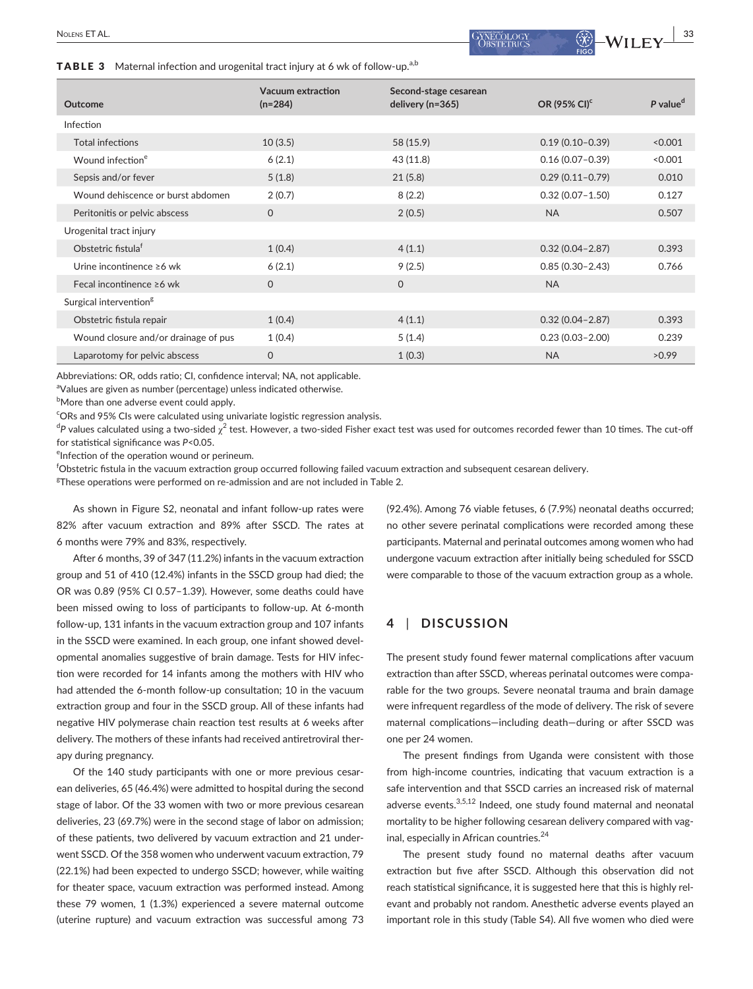TABLE 3 Maternal infection and urogenital tract injury at 6 wk of follow-up.<sup>a,b</sup>

| Outcome                              | Vacuum extraction<br>$(n=284)$ | Second-stage cesarean<br>delivery (n=365) | OR (95% CI) <sup>c</sup> | $P$ value <sup>d</sup> |
|--------------------------------------|--------------------------------|-------------------------------------------|--------------------------|------------------------|
| Infection                            |                                |                                           |                          |                        |
| Total infections                     | 10(3.5)                        | 58 (15.9)                                 | $0.19(0.10 - 0.39)$      | < 0.001                |
| Wound infection <sup>e</sup>         | 6(2.1)                         | 43(11.8)                                  | $0.16(0.07 - 0.39)$      | < 0.001                |
| Sepsis and/or fever                  | 5(1.8)                         | 21(5.8)                                   | $0.29(0.11 - 0.79)$      | 0.010                  |
| Wound dehiscence or burst abdomen    | 2(0.7)                         | 8(2.2)                                    | $0.32(0.07 - 1.50)$      | 0.127                  |
| Peritonitis or pelvic abscess        | $\Omega$                       | 2(0.5)                                    | <b>NA</b>                | 0.507                  |
| Urogenital tract injury              |                                |                                           |                          |                        |
| Obstetric fistula <sup>f</sup>       | 1(0.4)                         | 4(1.1)                                    | $0.32(0.04 - 2.87)$      | 0.393                  |
| Urine incontinence ≥6 wk             | 6(2.1)                         | 9(2.5)                                    | $0.85(0.30 - 2.43)$      | 0.766                  |
| Fecal incontinence $\geq 6$ wk       | $\Omega$                       | $\Omega$                                  | <b>NA</b>                |                        |
| Surgical intervention <sup>g</sup>   |                                |                                           |                          |                        |
| Obstetric fistula repair             | 1(0.4)                         | 4(1.1)                                    | $0.32(0.04 - 2.87)$      | 0.393                  |
| Wound closure and/or drainage of pus | 1(0.4)                         | 5(1.4)                                    | $0.23(0.03 - 2.00)$      | 0.239                  |
| Laparotomy for pelvic abscess        | $\Omega$                       | 1(0.3)                                    | <b>NA</b>                | >0.99                  |

Abbreviations: OR, odds ratio; CI, confidence interval; NA, not applicable.

<sup>a</sup>Values are given as number (percentage) unless indicated otherwise.

 $^{\rm b}$ More than one adverse event could apply.

<sup>c</sup>ORs and 95% CIs were calculated using univariate logistic regression analysis.

 $^{\sf d}$ P values calculated using a two-sided  $\chi^2$  test. However, a two-sided Fisher exact test was used for outcomes recorded fewer than 10 times. The cut-off for statistical significance was *P*<0.05.

<sup>e</sup>Infection of the operation wound or perineum.

f Obstetric fistula in the vacuum extraction group occurred following failed vacuum extraction and subsequent cesarean delivery.

 ${}^{g}$ These operations were performed on re-admission and are not included in Table 2.

As shown in Figure S2, neonatal and infant follow-up rates were 82% after vacuum extraction and 89% after SSCD. The rates at 6 months were 79% and 83%, respectively.

After 6 months, 39 of 347 (11.2%) infants in the vacuum extraction group and 51 of 410 (12.4%) infants in the SSCD group had died; the OR was 0.89 (95% CI 0.57–1.39). However, some deaths could have been missed owing to loss of participants to follow-up. At 6-month follow-up, 131 infants in the vacuum extraction group and 107 infants in the SSCD were examined. In each group, one infant showed developmental anomalies suggestive of brain damage. Tests for HIV infection were recorded for 14 infants among the mothers with HIV who had attended the 6-month follow-up consultation; 10 in the vacuum extraction group and four in the SSCD group. All of these infants had negative HIV polymerase chain reaction test results at 6 weeks after delivery. The mothers of these infants had received antiretroviral therapy during pregnancy.

Of the 140 study participants with one or more previous cesarean deliveries, 65 (46.4%) were admitted to hospital during the second stage of labor. Of the 33 women with two or more previous cesarean deliveries, 23 (69.7%) were in the second stage of labor on admission; of these patients, two delivered by vacuum extraction and 21 underwent SSCD. Of the 358 women who underwent vacuum extraction, 79 (22.1%) had been expected to undergo SSCD; however, while waiting for theater space, vacuum extraction was performed instead. Among these 79 women, 1 (1.3%) experienced a severe maternal outcome (uterine rupture) and vacuum extraction was successful among 73 (92.4%). Among 76 viable fetuses, 6 (7.9%) neonatal deaths occurred; no other severe perinatal complications were recorded among these participants. Maternal and perinatal outcomes among women who had undergone vacuum extraction after initially being scheduled for SSCD were comparable to those of the vacuum extraction group as a whole.

## **4** | **DISCUSSION**

The present study found fewer maternal complications after vacuum extraction than after SSCD, whereas perinatal outcomes were comparable for the two groups. Severe neonatal trauma and brain damage were infrequent regardless of the mode of delivery. The risk of severe maternal complications—including death—during or after SSCD was one per 24 women.

The present findings from Uganda were consistent with those from high-income countries, indicating that vacuum extraction is a safe intervention and that SSCD carries an increased risk of maternal adverse events.<sup>3,5,12</sup> Indeed, one study found maternal and neonatal mortality to be higher following cesarean delivery compared with vaginal, especially in African countries.<sup>24</sup>

The present study found no maternal deaths after vacuum extraction but five after SSCD. Although this observation did not reach statistical significance, it is suggested here that this is highly relevant and probably not random. Anesthetic adverse events played an important role in this study (Table S4). All five women who died were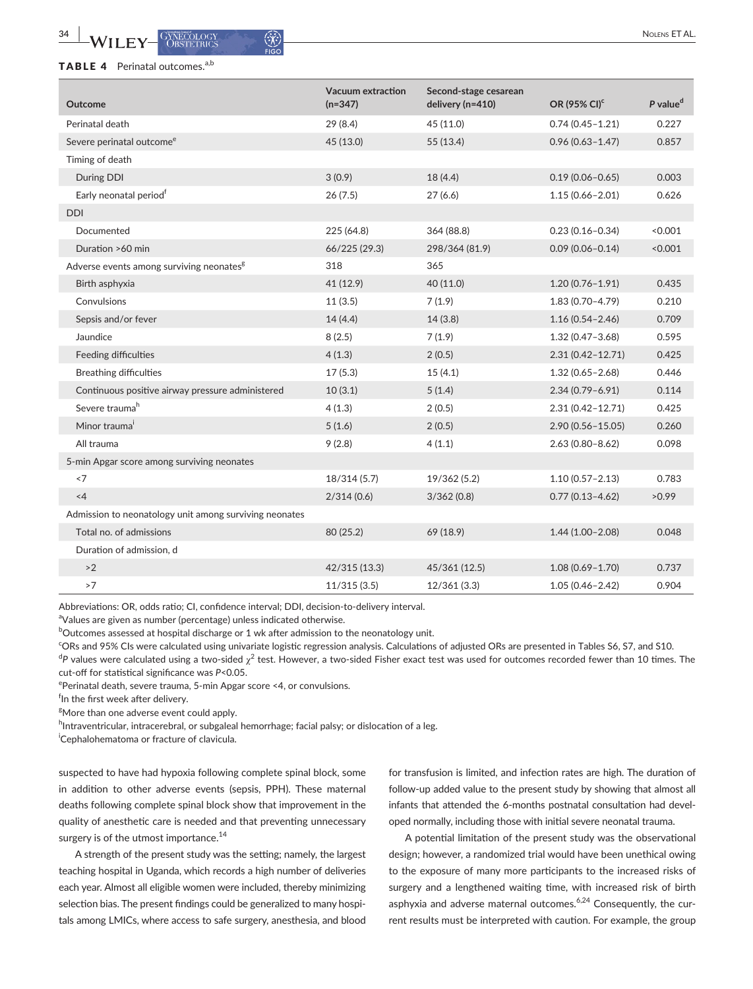## TABLE 4 Perinatal outcomes.<sup>a,b</sup>

| P value <sup>d</sup><br>delivery (n=410)<br>OR (95% CI) <sup>c</sup><br><b>Outcome</b><br>$(n=347)$<br>$0.74(0.45 - 1.21)$<br>0.227<br>Perinatal death<br>29(8.4)<br>45 (11.0)<br>0.857<br>Severe perinatal outcome <sup>e</sup><br>45 (13.0)<br>55 (13.4)<br>$0.96(0.63 - 1.47)$<br>Timing of death<br>During DDI<br>3(0.9)<br>18(4.4)<br>$0.19(0.06 - 0.65)$<br>0.003<br>Early neonatal period <sup>†</sup><br>0.626<br>26(7.5)<br>27(6.6)<br>$1.15(0.66 - 2.01)$<br><b>DDI</b><br>Documented<br>225 (64.8)<br>364 (88.8)<br>$0.23(0.16 - 0.34)$<br>< 0.001<br>Duration >60 min<br>66/225 (29.3)<br>298/364 (81.9)<br>$0.09(0.06 - 0.14)$<br>< 0.001<br>Adverse events among surviving neonates <sup>g</sup><br>318<br>365<br>41 (12.9)<br>40 (11.0)<br>$1.20(0.76 - 1.91)$<br>0.435<br>Birth asphyxia<br>Convulsions<br>11(3.5)<br>7(1.9)<br>$1.83(0.70 - 4.79)$<br>0.210<br>Sepsis and/or fever<br>14(4.4)<br>14(3.8)<br>$1.16(0.54 - 2.46)$<br>0.709<br>Jaundice<br>8(2.5)<br>7(1.9)<br>$1.32(0.47 - 3.68)$<br>0.595<br>Feeding difficulties<br>4(1.3)<br>$2.31(0.42 - 12.71)$<br>0.425<br>2(0.5)<br>0.446<br><b>Breathing difficulties</b><br>17(5.3)<br>15(4.1)<br>$1.32(0.65 - 2.68)$<br>0.114<br>Continuous positive airway pressure administered<br>10(3.1)<br>5(1.4)<br>$2.34(0.79 - 6.91)$<br>Severe trauma <sup>h</sup><br>4(1.3)<br>2(0.5)<br>$2.31(0.42 - 12.71)$<br>0.425 |
|-------------------------------------------------------------------------------------------------------------------------------------------------------------------------------------------------------------------------------------------------------------------------------------------------------------------------------------------------------------------------------------------------------------------------------------------------------------------------------------------------------------------------------------------------------------------------------------------------------------------------------------------------------------------------------------------------------------------------------------------------------------------------------------------------------------------------------------------------------------------------------------------------------------------------------------------------------------------------------------------------------------------------------------------------------------------------------------------------------------------------------------------------------------------------------------------------------------------------------------------------------------------------------------------------------------------------------------------------------------------------------------------|
|                                                                                                                                                                                                                                                                                                                                                                                                                                                                                                                                                                                                                                                                                                                                                                                                                                                                                                                                                                                                                                                                                                                                                                                                                                                                                                                                                                                           |
|                                                                                                                                                                                                                                                                                                                                                                                                                                                                                                                                                                                                                                                                                                                                                                                                                                                                                                                                                                                                                                                                                                                                                                                                                                                                                                                                                                                           |
|                                                                                                                                                                                                                                                                                                                                                                                                                                                                                                                                                                                                                                                                                                                                                                                                                                                                                                                                                                                                                                                                                                                                                                                                                                                                                                                                                                                           |
|                                                                                                                                                                                                                                                                                                                                                                                                                                                                                                                                                                                                                                                                                                                                                                                                                                                                                                                                                                                                                                                                                                                                                                                                                                                                                                                                                                                           |
|                                                                                                                                                                                                                                                                                                                                                                                                                                                                                                                                                                                                                                                                                                                                                                                                                                                                                                                                                                                                                                                                                                                                                                                                                                                                                                                                                                                           |
|                                                                                                                                                                                                                                                                                                                                                                                                                                                                                                                                                                                                                                                                                                                                                                                                                                                                                                                                                                                                                                                                                                                                                                                                                                                                                                                                                                                           |
|                                                                                                                                                                                                                                                                                                                                                                                                                                                                                                                                                                                                                                                                                                                                                                                                                                                                                                                                                                                                                                                                                                                                                                                                                                                                                                                                                                                           |
|                                                                                                                                                                                                                                                                                                                                                                                                                                                                                                                                                                                                                                                                                                                                                                                                                                                                                                                                                                                                                                                                                                                                                                                                                                                                                                                                                                                           |
|                                                                                                                                                                                                                                                                                                                                                                                                                                                                                                                                                                                                                                                                                                                                                                                                                                                                                                                                                                                                                                                                                                                                                                                                                                                                                                                                                                                           |
|                                                                                                                                                                                                                                                                                                                                                                                                                                                                                                                                                                                                                                                                                                                                                                                                                                                                                                                                                                                                                                                                                                                                                                                                                                                                                                                                                                                           |
|                                                                                                                                                                                                                                                                                                                                                                                                                                                                                                                                                                                                                                                                                                                                                                                                                                                                                                                                                                                                                                                                                                                                                                                                                                                                                                                                                                                           |
|                                                                                                                                                                                                                                                                                                                                                                                                                                                                                                                                                                                                                                                                                                                                                                                                                                                                                                                                                                                                                                                                                                                                                                                                                                                                                                                                                                                           |
|                                                                                                                                                                                                                                                                                                                                                                                                                                                                                                                                                                                                                                                                                                                                                                                                                                                                                                                                                                                                                                                                                                                                                                                                                                                                                                                                                                                           |
|                                                                                                                                                                                                                                                                                                                                                                                                                                                                                                                                                                                                                                                                                                                                                                                                                                                                                                                                                                                                                                                                                                                                                                                                                                                                                                                                                                                           |
|                                                                                                                                                                                                                                                                                                                                                                                                                                                                                                                                                                                                                                                                                                                                                                                                                                                                                                                                                                                                                                                                                                                                                                                                                                                                                                                                                                                           |
|                                                                                                                                                                                                                                                                                                                                                                                                                                                                                                                                                                                                                                                                                                                                                                                                                                                                                                                                                                                                                                                                                                                                                                                                                                                                                                                                                                                           |
|                                                                                                                                                                                                                                                                                                                                                                                                                                                                                                                                                                                                                                                                                                                                                                                                                                                                                                                                                                                                                                                                                                                                                                                                                                                                                                                                                                                           |
|                                                                                                                                                                                                                                                                                                                                                                                                                                                                                                                                                                                                                                                                                                                                                                                                                                                                                                                                                                                                                                                                                                                                                                                                                                                                                                                                                                                           |
| Minor trauma <sup>i</sup><br>5(1.6)<br>2(0.5)<br>$2.90(0.56 - 15.05)$<br>0.260                                                                                                                                                                                                                                                                                                                                                                                                                                                                                                                                                                                                                                                                                                                                                                                                                                                                                                                                                                                                                                                                                                                                                                                                                                                                                                            |
| All trauma<br>0.098<br>9(2.8)<br>4(1.1)<br>$2.63(0.80 - 8.62)$                                                                                                                                                                                                                                                                                                                                                                                                                                                                                                                                                                                                                                                                                                                                                                                                                                                                                                                                                                                                                                                                                                                                                                                                                                                                                                                            |
| 5-min Apgar score among surviving neonates                                                                                                                                                                                                                                                                                                                                                                                                                                                                                                                                                                                                                                                                                                                                                                                                                                                                                                                                                                                                                                                                                                                                                                                                                                                                                                                                                |
| < 7<br>18/314 (5.7)<br>19/362 (5.2)<br>$1.10(0.57 - 2.13)$<br>0.783                                                                                                                                                                                                                                                                                                                                                                                                                                                                                                                                                                                                                                                                                                                                                                                                                                                                                                                                                                                                                                                                                                                                                                                                                                                                                                                       |
| $<$ 4<br>2/314(0.6)<br>$0.77(0.13 - 4.62)$<br>>0.99<br>3/362(0.8)                                                                                                                                                                                                                                                                                                                                                                                                                                                                                                                                                                                                                                                                                                                                                                                                                                                                                                                                                                                                                                                                                                                                                                                                                                                                                                                         |
| Admission to neonatology unit among surviving neonates                                                                                                                                                                                                                                                                                                                                                                                                                                                                                                                                                                                                                                                                                                                                                                                                                                                                                                                                                                                                                                                                                                                                                                                                                                                                                                                                    |
| Total no. of admissions<br>80 (25.2)<br>69 (18.9)<br>$1.44(1.00 - 2.08)$<br>0.048                                                                                                                                                                                                                                                                                                                                                                                                                                                                                                                                                                                                                                                                                                                                                                                                                                                                                                                                                                                                                                                                                                                                                                                                                                                                                                         |
| Duration of admission, d                                                                                                                                                                                                                                                                                                                                                                                                                                                                                                                                                                                                                                                                                                                                                                                                                                                                                                                                                                                                                                                                                                                                                                                                                                                                                                                                                                  |
| 0.737<br>>2<br>42/315 (13.3)<br>45/361 (12.5)<br>$1.08(0.69 - 1.70)$                                                                                                                                                                                                                                                                                                                                                                                                                                                                                                                                                                                                                                                                                                                                                                                                                                                                                                                                                                                                                                                                                                                                                                                                                                                                                                                      |
| >7<br>11/315(3.5)<br>12/361(3.3)<br>$1.05(0.46 - 2.42)$<br>0.904                                                                                                                                                                                                                                                                                                                                                                                                                                                                                                                                                                                                                                                                                                                                                                                                                                                                                                                                                                                                                                                                                                                                                                                                                                                                                                                          |

Abbreviations: OR, odds ratio; CI, confidence interval; DDI, decision-to-delivery interval.

<sup>a</sup>Values are given as number (percentage) unless indicated otherwise.

 $^{\rm b}$ Outcomes assessed at hospital discharge or 1 wk after admission to the neonatology unit.

c ORs and 95% CIs were calculated using univariate logistic regression analysis. Calculations of adjusted ORs are presented in Tables S6, S7, and S10.  $^{\sf d}$ P values were calculated using a two-sided  $\chi^2$  test. However, a two-sided Fisher exact test was used for outcomes recorded fewer than 10 times. The cut-off for statistical significance was *P*<0.05.

ePerinatal death, severe trauma, 5-min Apgar score <4, or convulsions.

f In the first week after delivery.

<sup>g</sup>More than one adverse event could apply.

<sup>h</sup>Intraventricular, intracerebral, or subgaleal hemorrhage; facial palsy; or dislocation of a leg.

i Cephalohematoma or fracture of clavicula.

suspected to have had hypoxia following complete spinal block, some in addition to other adverse events (sepsis, PPH). These maternal deaths following complete spinal block show that improvement in the quality of anesthetic care is needed and that preventing unnecessary surgery is of the utmost importance.<sup>14</sup>

A strength of the present study was the setting; namely, the largest teaching hospital in Uganda, which records a high number of deliveries each year. Almost all eligible women were included, thereby minimizing selection bias. The present findings could be generalized to many hospitals among LMICs, where access to safe surgery, anesthesia, and blood

for transfusion is limited, and infection rates are high. The duration of follow-up added value to the present study by showing that almost all infants that attended the 6-months postnatal consultation had developed normally, including those with initial severe neonatal trauma.

A potential limitation of the present study was the observational design; however, a randomized trial would have been unethical owing to the exposure of many more participants to the increased risks of surgery and a lengthened waiting time, with increased risk of birth asphyxia and adverse maternal outcomes.<sup>6,24</sup> Consequently, the current results must be interpreted with caution. For example, the group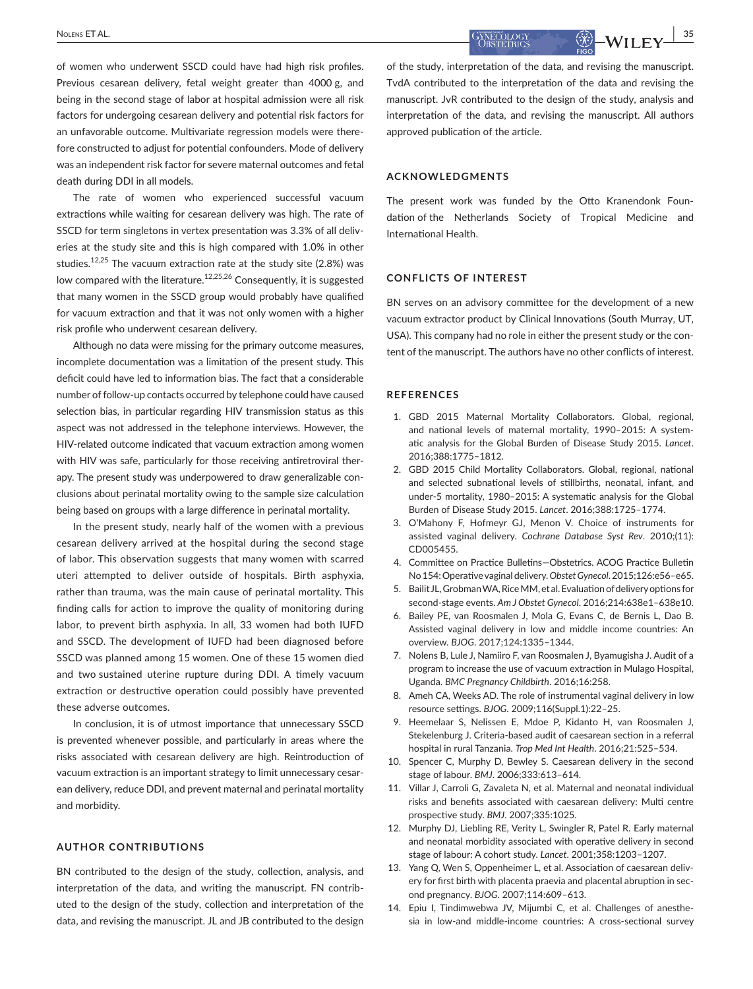**<u>BOLENS ET AL.</u> 35**<br> **ET AL. ET AL. EXECUTE: EXECUTE: EXECUTE: EXECUTE: EXECUTE: EXECUTE: EXECUTE: EXECUTE: EXECUTE: EXECUTE: EXECUTE: EXECUTE: EXECUTE: EXECUTE: EXECUTE: EXECUTE: E** 

of women who underwent SSCD could have had high risk profiles. Previous cesarean delivery, fetal weight greater than 4000 g, and being in the second stage of labor at hospital admission were all risk factors for undergoing cesarean delivery and potential risk factors for an unfavorable outcome. Multivariate regression models were therefore constructed to adjust for potential confounders. Mode of delivery was an independent risk factor for severe maternal outcomes and fetal death during DDI in all models.

The rate of women who experienced successful vacuum extractions while waiting for cesarean delivery was high. The rate of SSCD for term singletons in vertex presentation was 3.3% of all deliveries at the study site and this is high compared with 1.0% in other studies.12,25 The vacuum extraction rate at the study site (2.8%) was low compared with the literature.<sup>12,25,26</sup> Consequently, it is suggested that many women in the SSCD group would probably have qualified for vacuum extraction and that it was not only women with a higher risk profile who underwent cesarean delivery.

Although no data were missing for the primary outcome measures, incomplete documentation was a limitation of the present study. This deficit could have led to information bias. The fact that a considerable number of follow-up contacts occurred by telephone could have caused selection bias, in particular regarding HIV transmission status as this aspect was not addressed in the telephone interviews. However, the HIV-related outcome indicated that vacuum extraction among women with HIV was safe, particularly for those receiving antiretroviral therapy. The present study was underpowered to draw generalizable conclusions about perinatal mortality owing to the sample size calculation being based on groups with a large difference in perinatal mortality.

In the present study, nearly half of the women with a previous cesarean delivery arrived at the hospital during the second stage of labor. This observation suggests that many women with scarred uteri attempted to deliver outside of hospitals. Birth asphyxia, rather than trauma, was the main cause of perinatal mortality. This finding calls for action to improve the quality of monitoring during labor, to prevent birth asphyxia. In all, 33 women had both IUFD and SSCD. The development of IUFD had been diagnosed before SSCD was planned among 15 women. One of these 15 women died and two sustained uterine rupture during DDI. A timely vacuum extraction or destructive operation could possibly have prevented these adverse outcomes.

In conclusion, it is of utmost importance that unnecessary SSCD is prevented whenever possible, and particularly in areas where the risks associated with cesarean delivery are high. Reintroduction of vacuum extraction is an important strategy to limit unnecessary cesarean delivery, reduce DDI, and prevent maternal and perinatal mortality and morbidity.

## **AUTHOR CONTRIBUTIONS**

BN contributed to the design of the study, collection, analysis, and interpretation of the data, and writing the manuscript. FN contributed to the design of the study, collection and interpretation of the data, and revising the manuscript. JL and JB contributed to the design of the study, interpretation of the data, and revising the manuscript. TvdA contributed to the interpretation of the data and revising the manuscript. JvR contributed to the design of the study, analysis and interpretation of the data, and revising the manuscript. All authors approved publication of the article.

## **ACKNOWLEDGMENTS**

The present work was funded by the Otto Kranendonk Foundation of the Netherlands Society of Tropical Medicine and International Health.

## **CONFLICTS OF INTEREST**

BN serves on an advisory committee for the development of a new vacuum extractor product by Clinical Innovations (South Murray, UT, USA). This company had no role in either the present study or the content of the manuscript. The authors have no other conflicts of interest.

#### **REFERENCES**

- 1. GBD 2015 Maternal Mortality Collaborators. Global, regional, and national levels of maternal mortality, 1990–2015: A systematic analysis for the Global Burden of Disease Study 2015. *Lancet*. 2016;388:1775–1812.
- 2. GBD 2015 Child Mortality Collaborators. Global, regional, national and selected subnational levels of stillbirths, neonatal, infant, and under-5 mortality, 1980–2015: A systematic analysis for the Global Burden of Disease Study 2015. *Lancet*. 2016;388:1725–1774.
- 3. O'Mahony F, Hofmeyr GJ, Menon V. Choice of instruments for assisted vaginal delivery. *Cochrane Database Syst Rev*. 2010;(11): CD005455.
- 4. Committee on Practice Bulletins—Obstetrics. ACOG Practice Bulletin No 154: Operative vaginal delivery. *Obstet Gynecol*. 2015;126:e56–e65.
- 5. Bailit JL, Grobman WA, Rice MM, et al. Evaluation of delivery options for second-stage events. *Am J Obstet Gynecol*. 2016;214:638e1–638e10.
- 6. Bailey PE, van Roosmalen J, Mola G, Evans C, de Bernis L, Dao B. Assisted vaginal delivery in low and middle income countries: An overview. *BJOG*. 2017;124:1335–1344.
- 7. Nolens B, Lule J, Namiiro F, van Roosmalen J, Byamugisha J. Audit of a program to increase the use of vacuum extraction in Mulago Hospital, Uganda. *BMC Pregnancy Childbirth*. 2016;16:258.
- 8. Ameh CA, Weeks AD. The role of instrumental vaginal delivery in low resource settings. *BJOG*. 2009;116(Suppl.1):22–25.
- 9. Heemelaar S, Nelissen E, Mdoe P, Kidanto H, van Roosmalen J, Stekelenburg J. Criteria-based audit of caesarean section in a referral hospital in rural Tanzania. *Trop Med Int Health*. 2016;21:525–534.
- 10. Spencer C, Murphy D, Bewley S. Caesarean delivery in the second stage of labour. *BMJ*. 2006;333:613–614.
- 11. Villar J, Carroli G, Zavaleta N, et al. Maternal and neonatal individual risks and benefits associated with caesarean delivery: Multi centre prospective study. *BMJ*. 2007;335:1025.
- 12. Murphy DJ, Liebling RE, Verity L, Swingler R, Patel R. Early maternal and neonatal morbidity associated with operative delivery in second stage of labour: A cohort study. *Lancet*. 2001;358:1203–1207.
- 13. Yang Q, Wen S, Oppenheimer L, et al. Association of caesarean delivery for first birth with placenta praevia and placental abruption in second pregnancy. *BJOG*. 2007;114:609–613.
- 14. Epiu I, Tindimwebwa JV, Mijumbi C, et al. Challenges of anesthesia in low-and middle-income countries: A cross-sectional survey